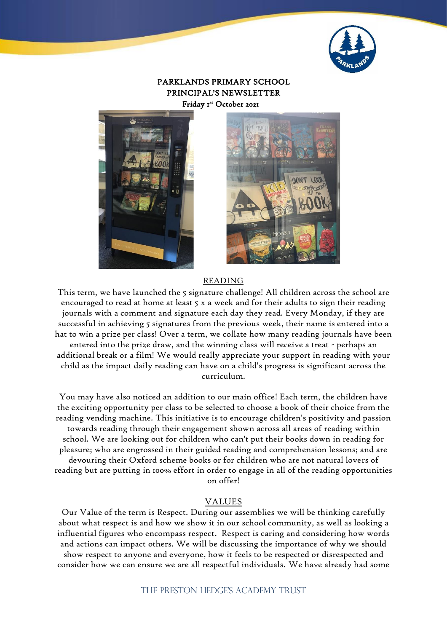

### PARKLANDS PRIMARY SCHOOL PRINCIPAL'S NEWSLETTER Friday 1 st October 2021





#### READING

This term, we have launched the 5 signature challenge! All children across the school are encouraged to read at home at least 5 x a week and for their adults to sign their reading journals with a comment and signature each day they read. Every Monday, if they are successful in achieving 5 signatures from the previous week, their name is entered into a hat to win a prize per class! Over a term, we collate how many reading journals have been entered into the prize draw, and the winning class will receive a treat - perhaps an additional break or a film! We would really appreciate your support in reading with your child as the impact daily reading can have on a child's progress is significant across the curriculum.

You may have also noticed an addition to our main office! Each term, the children have the exciting opportunity per class to be selected to choose a book of their choice from the reading vending machine. This initiative is to encourage children's positivity and passion towards reading through their engagement shown across all areas of reading within school. We are looking out for children who can't put their books down in reading for pleasure; who are engrossed in their guided reading and comprehension lessons; and are devouring their Oxford scheme books or for children who are not natural lovers of reading but are putting in 100% effort in order to engage in all of the reading opportunities on offer!

#### VALUES

Our Value of the term is Respect. During our assemblies we will be thinking carefully about what respect is and how we show it in our school community, as well as looking a influential figures who encompass respect. Respect is caring and considering how words and actions can impact others. We will be discussing the importance of why we should show respect to anyone and everyone, how it feels to be respected or disrespected and consider how we can ensure we are all respectful individuals. We have already had some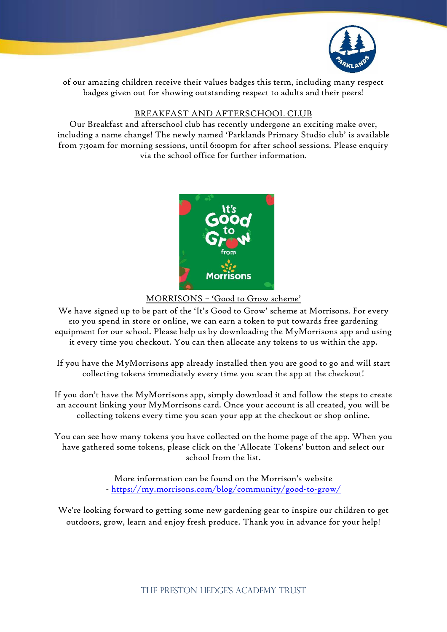

of our amazing children receive their values badges this term, including many respect badges given out for showing outstanding respect to adults and their peers!

## BREAKFAST AND AFTERSCHOOL CLUB

Our Breakfast and afterschool club has recently undergone an exciting make over, including a name change! The newly named 'Parklands Primary Studio club' is available from 7:30am for morning sessions, until 6:00pm for after school sessions. Please enquiry via the school office for further information.



### MORRISONS – 'Good to Grow scheme'

We have signed up to be part of the 'It's Good to Grow' scheme at Morrisons. For every £10 you spend in store or online, we can earn a token to put towards free gardening equipment for our school. Please help us by downloading the MyMorrisons app and using it every time you checkout. You can then allocate any tokens to us within the app.

If you have the MyMorrisons app already installed then you are good to go and will start collecting tokens immediately every time you scan the app at the checkout!

If you don't have the MyMorrisons app, simply download it and follow the steps to create an account linking your MyMorrisons card. Once your account is all created, you will be collecting tokens every time you scan your app at the checkout or shop online.

You can see how many tokens you have collected on the home page of the app. When you have gathered some tokens, please click on the 'Allocate Tokens' button and select our school from the list.

> More information can be found on the Morrison's website - <https://my.morrisons.com/blog/community/good-to-grow/>

We're looking forward to getting some new gardening gear to inspire our children to get outdoors, grow, learn and enjoy fresh produce. Thank you in advance for your help!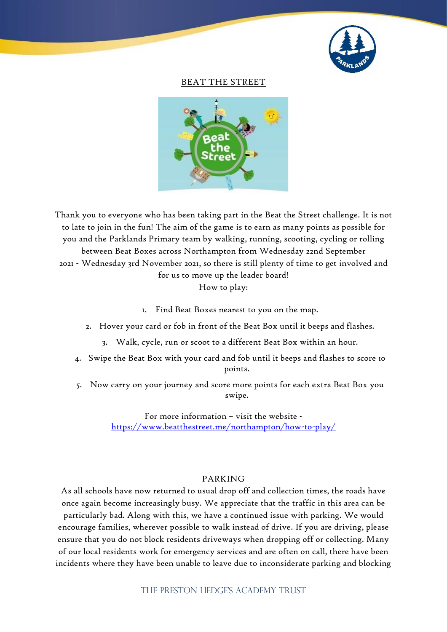

#### BEAT THE STREET



Thank you to everyone who has been taking part in the Beat the Street challenge. It is not to late to join in the fun! The aim of the game is to earn as many points as possible for you and the Parklands Primary team by walking, running, scooting, cycling or rolling between Beat Boxes across Northampton from Wednesday 22nd September 2021 - Wednesday 3rd November 2021, so there is still plenty of time to get involved and for us to move up the leader board! How to play:

1. Find Beat Boxes nearest to you on the map.

2. Hover your card or fob in front of the Beat Box until it beeps and flashes.

- 3. Walk, cycle, run or scoot to a different Beat Box within an hour.
- 4. Swipe the Beat Box with your card and fob until it beeps and flashes to score 10 points.
- 5. Now carry on your journey and score more points for each extra Beat Box you swipe.

For more information – visit the website <https://www.beatthestreet.me/northampton/how-to-play/>

#### PARKING

As all schools have now returned to usual drop off and collection times, the roads have once again become increasingly busy. We appreciate that the traffic in this area can be particularly bad. Along with this, we have a continued issue with parking. We would encourage families, wherever possible to walk instead of drive. If you are driving, please ensure that you do not block residents driveways when dropping off or collecting. Many of our local residents work for emergency services and are often on call, there have been incidents where they have been unable to leave due to inconsiderate parking and blocking

THE PRESTON HEDGE'S ACADEMY TRUST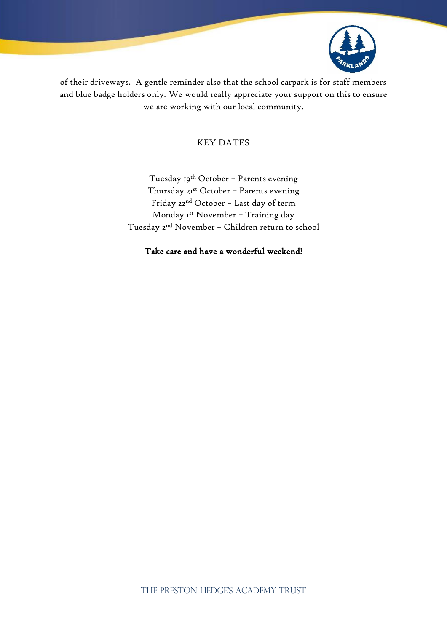

of their driveways. A gentle reminder also that the school carpark is for staff members and blue badge holders only. We would really appreciate your support on this to ensure we are working with our local community.

### KEY DATES

Tuesday 19<sup>th</sup> October - Parents evening Thursday 21st October - Parents evening Friday 22nd October – Last day of term Monday Ist November - Training day Tuesday 2nd November – Children return to school

Take care and have a wonderful weekend!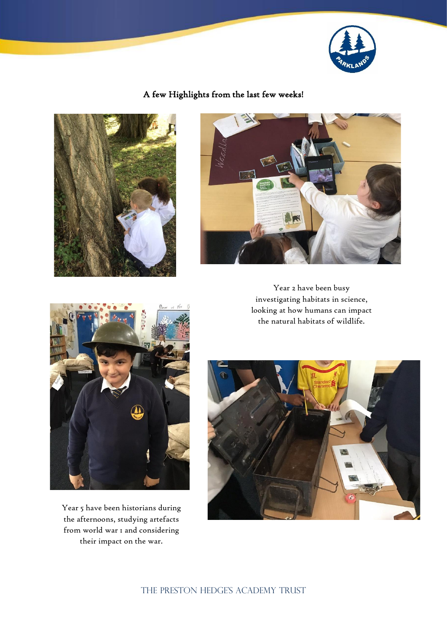

# A few Highlights from the last few weeks!





Year 2 have been busy investigating habitats in science, looking at how humans can impact the natural habitats of wildlife.



Year 5 have been historians during the afternoons, studying artefacts from world war 1 and considering their impact on the war.



THE PRESTON HEDGE'S ACADEMY TRUST